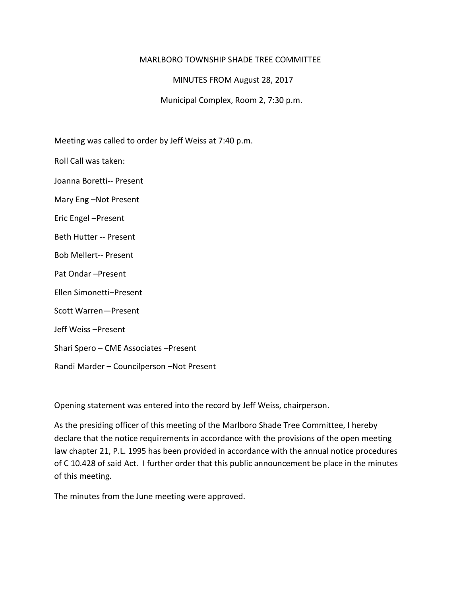## MARLBORO TOWNSHIP SHADE TREE COMMITTEE

MINUTES FROM August 28, 2017

Municipal Complex, Room 2, 7:30 p.m.

Meeting was called to order by Jeff Weiss at 7:40 p.m.

Roll Call was taken:

Joanna Boretti-- Present

Mary Eng –Not Present

Eric Engel –Present

Beth Hutter -- Present

Bob Mellert-- Present

Pat Ondar –Present

Ellen Simonetti–Present

Scott Warren—Present

Jeff Weiss –Present

Shari Spero – CME Associates –Present

Randi Marder – Councilperson –Not Present

Opening statement was entered into the record by Jeff Weiss, chairperson.

As the presiding officer of this meeting of the Marlboro Shade Tree Committee, I hereby declare that the notice requirements in accordance with the provisions of the open meeting law chapter 21, P.L. 1995 has been provided in accordance with the annual notice procedures of C 10.428 of said Act. I further order that this public announcement be place in the minutes of this meeting.

The minutes from the June meeting were approved.